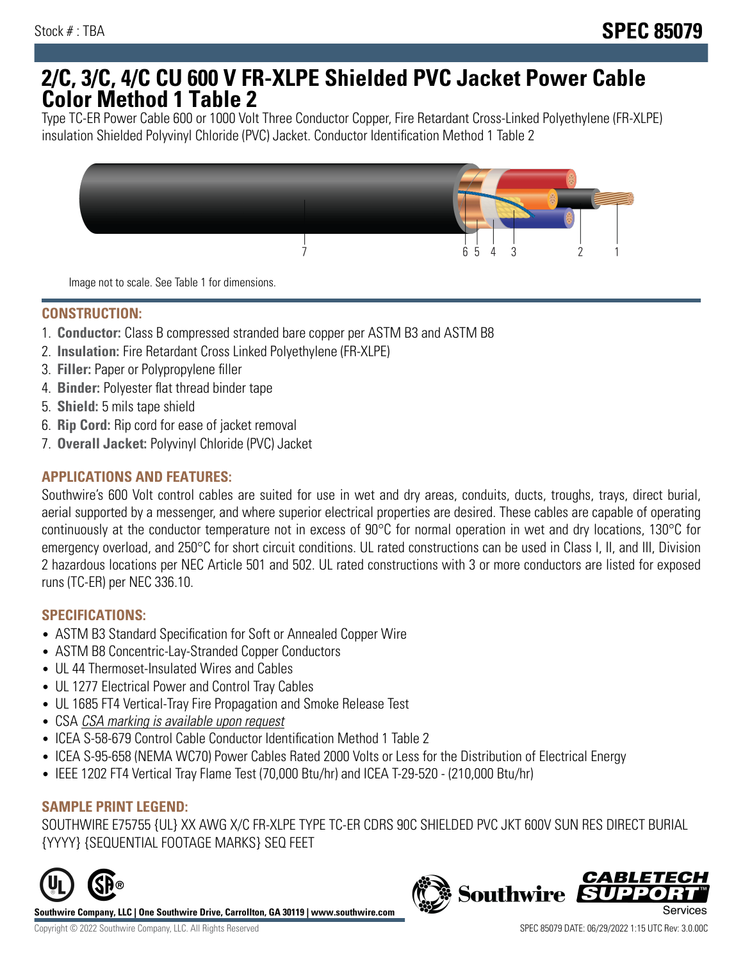## **2/C, 3/C, 4/C CU 600 V FR-XLPE Shielded PVC Jacket Power Cable Color Method 1 Table 2**

Type TC-ER Power Cable 600 or 1000 Volt Three Conductor Copper, Fire Retardant Cross-Linked Polyethylene (FR-XLPE) insulation Shielded Polyvinyl Chloride (PVC) Jacket. Conductor Identification Method 1 Table 2



Image not to scale. See Table 1 for dimensions.

## **CONSTRUCTION:**

- 1. **Conductor:** Class B compressed stranded bare copper per ASTM B3 and ASTM B8
- 2. **Insulation:** Fire Retardant Cross Linked Polyethylene (FR-XLPE)
- 3. **Filler:** Paper or Polypropylene filler
- 4. **Binder:** Polyester flat thread binder tape
- 5. **Shield:** 5 mils tape shield
- 6. **Rip Cord:** Rip cord for ease of jacket removal
- 7. **Overall Jacket:** Polyvinyl Chloride (PVC) Jacket

### **APPLICATIONS AND FEATURES:**

Southwire's 600 Volt control cables are suited for use in wet and dry areas, conduits, ducts, troughs, trays, direct burial, aerial supported by a messenger, and where superior electrical properties are desired. These cables are capable of operating continuously at the conductor temperature not in excess of 90°C for normal operation in wet and dry locations, 130°C for emergency overload, and 250°C for short circuit conditions. UL rated constructions can be used in Class I, II, and III, Division 2 hazardous locations per NEC Article 501 and 502. UL rated constructions with 3 or more conductors are listed for exposed runs (TC-ER) per NEC 336.10.

#### **SPECIFICATIONS:**

- ASTM B3 Standard Specification for Soft or Annealed Copper Wire
- ASTM B8 Concentric-Lay-Stranded Copper Conductors
- UL 44 Thermoset-Insulated Wires and Cables
- UL 1277 Electrical Power and Control Tray Cables
- UL 1685 FT4 Vertical-Tray Fire Propagation and Smoke Release Test
- CSA CSA marking is available upon request
- ICEA S-58-679 Control Cable Conductor Identification Method 1 Table 2
- ICEA S-95-658 (NEMA WC70) Power Cables Rated 2000 Volts or Less for the Distribution of Electrical Energy
- IEEE 1202 FT4 Vertical Tray Flame Test (70,000 Btu/hr) and ICEA T-29-520 (210,000 Btu/hr)

#### **SAMPLE PRINT LEGEND:**

SOUTHWIRE E75755 {UL} XX AWG X/C FR-XLPE TYPE TC-ER CDRS 90C SHIELDED PVC JKT 600V SUN RES DIRECT BURIAL {YYYY} {SEQUENTIAL FOOTAGE MARKS} SEQ FEET



**Southwire Company, LLC | One Southwire Drive, Carrollton, GA 30119 | www.southwire.com**